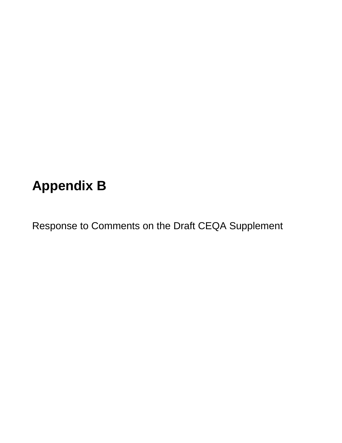# **Appendix B**

Response to Comments on the Draft CEQA Supplement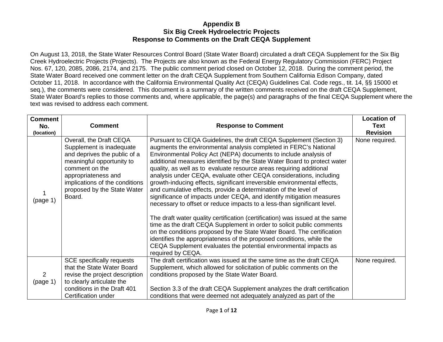On August 13, 2018, the State Water Resources Control Board (State Water Board) circulated a draft CEQA Supplement for the Six Big Creek Hydroelectric Projects (Projects). The Projects are also known as the Federal Energy Regulatory Commission (FERC) Project Nos. 67, 120, 2085, 2086, 2174, and 2175. The public comment period closed on October 12, 2018. During the comment period, the State Water Board received one comment letter on the draft CEQA Supplement from Southern California Edison Company, dated October 11, 2018. In accordance with the California Environmental Quality Act (CEQA) Guidelines Cal. Code regs., tit. 14, §§ 15000 et seq.), the comments were considered. This document is a summary of the written comments received on the draft CEQA Supplement, State Water Board's replies to those comments and, where applicable, the page(s) and paragraphs of the final CEQA Supplement where the text was revised to address each comment.

| <b>Comment</b><br>No.<br>(location) | <b>Comment</b>                                                                                                                                                                                                                       | <b>Response to Comment</b>                                                                                                                                                                                                                                                                                                                                                                                                                                                                                                                                                                                                                                                                                                                                                                                                                                                                                                                                                                                                                                                                                                                | <b>Location of</b><br><b>Text</b><br><b>Revision</b> |
|-------------------------------------|--------------------------------------------------------------------------------------------------------------------------------------------------------------------------------------------------------------------------------------|-------------------------------------------------------------------------------------------------------------------------------------------------------------------------------------------------------------------------------------------------------------------------------------------------------------------------------------------------------------------------------------------------------------------------------------------------------------------------------------------------------------------------------------------------------------------------------------------------------------------------------------------------------------------------------------------------------------------------------------------------------------------------------------------------------------------------------------------------------------------------------------------------------------------------------------------------------------------------------------------------------------------------------------------------------------------------------------------------------------------------------------------|------------------------------------------------------|
| (page 1)                            | Overall, the Draft CEQA<br>Supplement is inadequate<br>and deprives the public of a<br>meaningful opportunity to<br>comment on the<br>appropriateness and<br>implications of the conditions<br>proposed by the State Water<br>Board. | Pursuant to CEQA Guidelines, the draft CEQA Supplement (Section 3)<br>augments the environmental analysis completed in FERC's National<br>Environmental Policy Act (NEPA) documents to include analysis of<br>additional measures identified by the State Water Board to protect water<br>quality, as well as to evaluate resource areas requiring additional<br>analysis under CEQA, evaluate other CEQA considerations, including<br>growth-inducing effects, significant irreversible environmental effects,<br>and cumulative effects, provide a determination of the level of<br>significance of impacts under CEQA, and identify mitigation measures<br>necessary to offset or reduce impacts to a less-than significant level.<br>The draft water quality certification (certification) was issued at the same<br>time as the draft CEQA Supplement in order to solicit public comments<br>on the conditions proposed by the State Water Board. The certification<br>identifies the appropriateness of the proposed conditions, while the<br>CEQA Supplement evaluates the potential environmental impacts as<br>required by CEQA. | None required.                                       |
| 2<br>(page 1)                       | <b>SCE specifically requests</b><br>that the State Water Board<br>revise the project description<br>to clearly articulate the<br>conditions in the Draft 401<br>Certification under                                                  | The draft certification was issued at the same time as the draft CEQA<br>Supplement, which allowed for solicitation of public comments on the<br>conditions proposed by the State Water Board.<br>Section 3.3 of the draft CEQA Supplement analyzes the draft certification<br>conditions that were deemed not adequately analyzed as part of the                                                                                                                                                                                                                                                                                                                                                                                                                                                                                                                                                                                                                                                                                                                                                                                         | None required.                                       |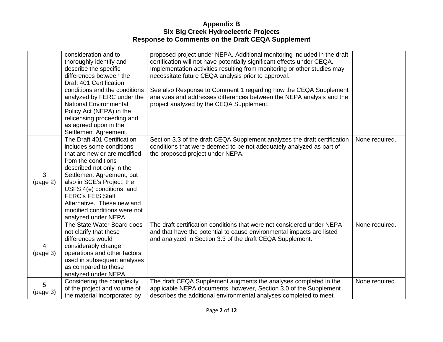|                            | consideration and to<br>thoroughly identify and<br>describe the specific<br>differences between the<br>Draft 401 Certification<br>conditions and the conditions                                                                                                                                                                                       | proposed project under NEPA. Additional monitoring included in the draft<br>certification will not have potentially significant effects under CEQA.<br>Implementation activities resulting from monitoring or other studies may<br>necessitate future CEQA analysis prior to approval.<br>See also Response to Comment 1 regarding how the CEQA Supplement |                |
|----------------------------|-------------------------------------------------------------------------------------------------------------------------------------------------------------------------------------------------------------------------------------------------------------------------------------------------------------------------------------------------------|------------------------------------------------------------------------------------------------------------------------------------------------------------------------------------------------------------------------------------------------------------------------------------------------------------------------------------------------------------|----------------|
|                            | analyzed by FERC under the<br><b>National Environmental</b><br>Policy Act (NEPA) in the<br>relicensing proceeding and<br>as agreed upon in the<br>Settlement Agreement.                                                                                                                                                                               | analyzes and addresses differences between the NEPA analysis and the<br>project analyzed by the CEQA Supplement.                                                                                                                                                                                                                                           |                |
| 3<br>(page 2)              | The Draft 401 Certification<br>includes some conditions<br>that are new or are modified<br>from the conditions<br>described not only in the<br>Settlement Agreement, but<br>also in SCE's Project, the<br>USFS 4(e) conditions, and<br><b>FERC's FEIS Staff</b><br>Alternative. These new and<br>modified conditions were not<br>analyzed under NEPA. | Section 3.3 of the draft CEQA Supplement analyzes the draft certification<br>conditions that were deemed to be not adequately analyzed as part of<br>the proposed project under NEPA.                                                                                                                                                                      | None required. |
| $\overline{4}$<br>(page 3) | The State Water Board does<br>not clarify that these<br>differences would<br>considerably change<br>operations and other factors<br>used in subsequent analyses<br>as compared to those<br>analyzed under NEPA.                                                                                                                                       | The draft certification conditions that were not considered under NEPA<br>and that have the potential to cause environmental impacts are listed<br>and analyzed in Section 3.3 of the draft CEQA Supplement.                                                                                                                                               | None required. |
| 5<br>(page 3)              | Considering the complexity<br>of the project and volume of<br>the material incorporated by                                                                                                                                                                                                                                                            | The draft CEQA Supplement augments the analyses completed in the<br>applicable NEPA documents, however, Section 3.0 of the Supplement<br>describes the additional environmental analyses completed to meet                                                                                                                                                 | None required. |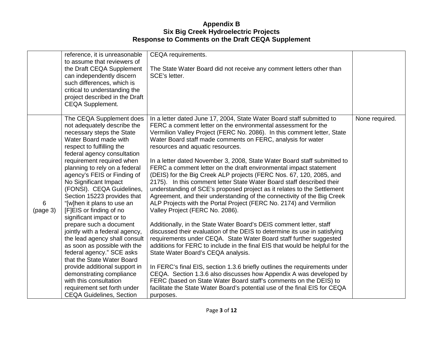|               | reference, it is unreasonable<br>to assume that reviewers of<br>the Draft CEQA Supplement<br>can independently discern<br>such differences, which is<br>critical to understanding the<br>project described in the Draft<br>CEQA Supplement.                                                                                                                                                                                                                                                                                                                                                                                                                                                                                                                                                        | CEQA requirements.<br>The State Water Board did not receive any comment letters other than<br>SCE's letter.                                                                                                                                                                                                                                                                                                                                                                                                                                                                                                                                                                                                                                                                                                                                                                                                                                                                                                                                                                                                                                                                                                                                                                                                                                                                                                                                                                                                                                              |                |
|---------------|----------------------------------------------------------------------------------------------------------------------------------------------------------------------------------------------------------------------------------------------------------------------------------------------------------------------------------------------------------------------------------------------------------------------------------------------------------------------------------------------------------------------------------------------------------------------------------------------------------------------------------------------------------------------------------------------------------------------------------------------------------------------------------------------------|----------------------------------------------------------------------------------------------------------------------------------------------------------------------------------------------------------------------------------------------------------------------------------------------------------------------------------------------------------------------------------------------------------------------------------------------------------------------------------------------------------------------------------------------------------------------------------------------------------------------------------------------------------------------------------------------------------------------------------------------------------------------------------------------------------------------------------------------------------------------------------------------------------------------------------------------------------------------------------------------------------------------------------------------------------------------------------------------------------------------------------------------------------------------------------------------------------------------------------------------------------------------------------------------------------------------------------------------------------------------------------------------------------------------------------------------------------------------------------------------------------------------------------------------------------|----------------|
| 6<br>(page 3) | The CEQA Supplement does<br>not adequately describe the<br>necessary steps the State<br>Water Board made with<br>respect to fulfilling the<br>federal agency consultation<br>requirement required when<br>planning to rely on a federal<br>agency's FEIS or Finding of<br>No Significant Impact<br>(FONSI). CEQA Guidelines,<br>Section 15223 provides that<br>"[w]hen it plans to use an<br>[F]EIS or finding of no<br>significant impact or to<br>prepare such a document<br>jointly with a federal agency,<br>the lead agency shall consult<br>as soon as possible with the<br>federal agency." SCE asks<br>that the State Water Board<br>provide additional support in<br>demonstrating compliance<br>with this consultation<br>requirement set forth under<br><b>CEQA Guidelines, Section</b> | In a letter dated June 17, 2004, State Water Board staff submitted to<br>FERC a comment letter on the environmental assessment for the<br>Vermilion Valley Project (FERC No. 2086). In this comment letter, State<br>Water Board staff made comments on FERC, analysis for water<br>resources and aquatic resources.<br>In a letter dated November 3, 2008, State Water Board staff submitted to<br>FERC a comment letter on the draft environmental impact statement<br>(DEIS) for the Big Creek ALP projects (FERC Nos. 67, 120, 2085, and<br>2175). In this comment letter State Water Board staff described their<br>understanding of SCE's proposed project as it relates to the Settlement<br>Agreement, and their understanding of the connectivity of the Big Creek<br>ALP Projects with the Portal Project (FERC No. 2174) and Vermilion<br>Valley Project (FERC No. 2086).<br>Additionally, in the State Water Board's DEIS comment letter, staff<br>discussed their evaluation of the DEIS to determine its use in satisfying<br>requirements under CEQA. State Water Board staff further suggested<br>additions for FERC to include in the final EIS that would be helpful for the<br>State Water Board's CEQA analysis.<br>In FERC's final EIS, section 1.3.6 briefly outlines the requirements under<br>CEQA. Section 1.3.6 also discusses how Appendix A was developed by<br>FERC (based on State Water Board staff's comments on the DEIS) to<br>facilitate the State Water Board's potential use of the final EIS for CEQA<br>purposes. | None required. |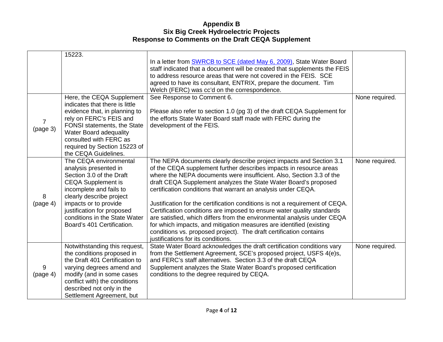|                | 15223.                                                        |                                                                                                                                                          |                |
|----------------|---------------------------------------------------------------|----------------------------------------------------------------------------------------------------------------------------------------------------------|----------------|
|                |                                                               | In a letter from <b>SWRCB</b> to SCE (dated May 6, 2009), State Water Board<br>staff indicated that a document will be created that supplements the FEIS |                |
|                |                                                               | to address resource areas that were not covered in the FEIS. SCE                                                                                         |                |
|                |                                                               | agreed to have its consultant, ENTRIX, prepare the document. Tim                                                                                         |                |
|                |                                                               | Welch (FERC) was cc'd on the correspondence.                                                                                                             |                |
|                | Here, the CEQA Supplement                                     | See Response to Comment 6.                                                                                                                               | None required. |
|                | indicates that there is little                                |                                                                                                                                                          |                |
|                | evidence that, in planning to                                 | Please also refer to section 1.0 (pg 3) of the draft CEQA Supplement for                                                                                 |                |
| $\overline{7}$ | rely on FERC's FEIS and<br><b>FONSI</b> statements, the State | the efforts State Water Board staff made with FERC during the<br>development of the FEIS.                                                                |                |
| (page 3)       | <b>Water Board adequality</b>                                 |                                                                                                                                                          |                |
|                | consulted with FERC as                                        |                                                                                                                                                          |                |
|                | required by Section 15223 of                                  |                                                                                                                                                          |                |
|                | the CEQA Guidelines.                                          |                                                                                                                                                          |                |
|                | The CEQA environmental                                        | The NEPA documents clearly describe project impacts and Section 3.1                                                                                      | None required. |
|                | analysis presented in                                         | of the CEQA supplement further describes impacts in resource areas                                                                                       |                |
|                | Section 3.0 of the Draft                                      | where the NEPA documents were insufficient. Also, Section 3.3 of the                                                                                     |                |
|                | <b>CEQA Supplement is</b>                                     | draft CEQA Supplement analyzes the State Water Board's proposed                                                                                          |                |
| 8              | incomplete and fails to<br>clearly describe project           | certification conditions that warrant an analysis under CEQA.                                                                                            |                |
| (page 4)       | impacts or to provide                                         | Justification for the certification conditions is not a requirement of CEQA.                                                                             |                |
|                | justification for proposed                                    | Certification conditions are imposed to ensure water quality standards                                                                                   |                |
|                | conditions in the State Water                                 | are satisfied, which differs from the environmental analysis under CEQA                                                                                  |                |
|                | Board's 401 Certification.                                    | for which impacts, and mitigation measures are identified (existing                                                                                      |                |
|                |                                                               | conditions vs. proposed project). The draft certification contains                                                                                       |                |
|                |                                                               | justifications for its conditions.                                                                                                                       |                |
|                | Notwithstanding this request,                                 | State Water Board acknowledges the draft certification conditions vary                                                                                   | None required. |
|                | the conditions proposed in                                    | from the Settlement Agreement, SCE's proposed project, USFS 4(e)s,                                                                                       |                |
|                | the Draft 401 Certification to                                | and FERC's staff alternatives. Section 3.3 of the draft CEQA                                                                                             |                |
| 9<br>(page 4)  | varying degrees amend and<br>modify (and in some cases        | Supplement analyzes the State Water Board's proposed certification<br>conditions to the degree required by CEQA.                                         |                |
|                | conflict with) the conditions                                 |                                                                                                                                                          |                |
|                | described not only in the                                     |                                                                                                                                                          |                |
|                | Settlement Agreement, but                                     |                                                                                                                                                          |                |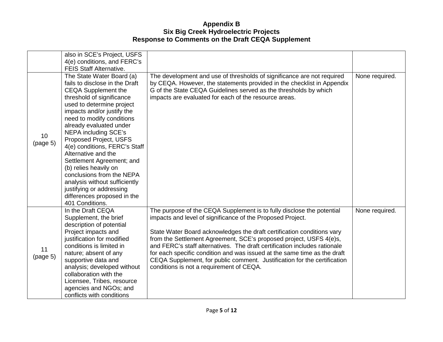|                | also in SCE's Project, USFS                                                                                                                                                                                                                                                                                                                                                                                                                                                                                                                                  |                                                                                                                                                                                                                                                                                                                                                                                                                                                                                                                                                                      |                |
|----------------|--------------------------------------------------------------------------------------------------------------------------------------------------------------------------------------------------------------------------------------------------------------------------------------------------------------------------------------------------------------------------------------------------------------------------------------------------------------------------------------------------------------------------------------------------------------|----------------------------------------------------------------------------------------------------------------------------------------------------------------------------------------------------------------------------------------------------------------------------------------------------------------------------------------------------------------------------------------------------------------------------------------------------------------------------------------------------------------------------------------------------------------------|----------------|
|                | 4(e) conditions, and FERC's                                                                                                                                                                                                                                                                                                                                                                                                                                                                                                                                  |                                                                                                                                                                                                                                                                                                                                                                                                                                                                                                                                                                      |                |
|                | <b>FEIS Staff Alternative.</b>                                                                                                                                                                                                                                                                                                                                                                                                                                                                                                                               |                                                                                                                                                                                                                                                                                                                                                                                                                                                                                                                                                                      |                |
| 10<br>(page 5) | The State Water Board (a)<br>fails to disclose in the Draft<br><b>CEQA Supplement the</b><br>threshold of significance<br>used to determine project<br>impacts and/or justify the<br>need to modify conditions<br>already evaluated under<br><b>NEPA including SCE's</b><br>Proposed Project, USFS<br>4(e) conditions, FERC's Staff<br>Alternative and the<br>Settlement Agreement; and<br>(b) relies heavily on<br>conclusions from the NEPA<br>analysis without sufficiently<br>justifying or addressing<br>differences proposed in the<br>401 Conditions. | The development and use of thresholds of significance are not required<br>by CEQA. However, the statements provided in the checklist in Appendix<br>G of the State CEQA Guidelines served as the thresholds by which<br>impacts are evaluated for each of the resource areas.                                                                                                                                                                                                                                                                                        | None required. |
| 11<br>(page 5) | In the Draft CEQA<br>Supplement, the brief<br>description of potential<br>Project impacts and<br>justification for modified<br>conditions is limited in<br>nature; absent of any<br>supportive data and<br>analysis; developed without<br>collaboration with the<br>Licensee, Tribes, resource                                                                                                                                                                                                                                                               | The purpose of the CEQA Supplement is to fully disclose the potential<br>impacts and level of significance of the Proposed Project.<br>State Water Board acknowledges the draft certification conditions vary<br>from the Settlement Agreement, SCE's proposed project, USFS 4(e)s,<br>and FERC's staff alternatives. The draft certification includes rationale<br>for each specific condition and was issued at the same time as the draft<br>CEQA Supplement, for public comment. Justification for the certification<br>conditions is not a requirement of CEQA. | None required. |
|                | agencies and NGOs; and<br>conflicts with conditions                                                                                                                                                                                                                                                                                                                                                                                                                                                                                                          |                                                                                                                                                                                                                                                                                                                                                                                                                                                                                                                                                                      |                |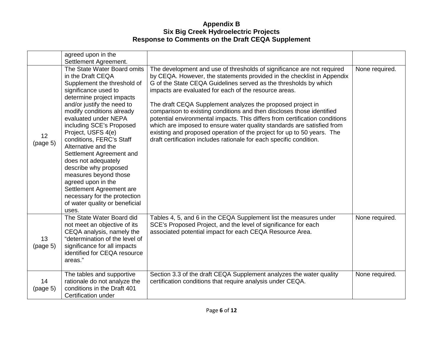|                | agreed upon in the<br>Settlement Agreement.                                                                                                                                                                                                                                                                                                                                                                                                                                                                                                                    |                                                                                                                                                                                                                                                                                                                                                                                                                                                                                                                                                                                                                                                                                                                                |                |
|----------------|----------------------------------------------------------------------------------------------------------------------------------------------------------------------------------------------------------------------------------------------------------------------------------------------------------------------------------------------------------------------------------------------------------------------------------------------------------------------------------------------------------------------------------------------------------------|--------------------------------------------------------------------------------------------------------------------------------------------------------------------------------------------------------------------------------------------------------------------------------------------------------------------------------------------------------------------------------------------------------------------------------------------------------------------------------------------------------------------------------------------------------------------------------------------------------------------------------------------------------------------------------------------------------------------------------|----------------|
| 12<br>(page 5) | The State Water Board omits<br>in the Draft CEQA<br>Supplement the threshold of<br>significance used to<br>determine project impacts<br>and/or justify the need to<br>modify conditions already<br>evaluated under NEPA<br>including SCE's Proposed<br>Project, USFS 4(e)<br>conditions, FERC's Staff<br>Alternative and the<br>Settlement Agreement and<br>does not adequately<br>describe why proposed<br>measures beyond those<br>agreed upon in the<br>Settlement Agreement are<br>necessary for the protection<br>of water quality or beneficial<br>uses. | The development and use of thresholds of significance are not required<br>by CEQA. However, the statements provided in the checklist in Appendix<br>G of the State CEQA Guidelines served as the thresholds by which<br>impacts are evaluated for each of the resource areas.<br>The draft CEQA Supplement analyzes the proposed project in<br>comparison to existing conditions and then discloses those identified<br>potential environmental impacts. This differs from certification conditions<br>which are imposed to ensure water quality standards are satisfied from<br>existing and proposed operation of the project for up to 50 years. The<br>draft certification includes rationale for each specific condition. | None required. |
| 13<br>(page 5) | The State Water Board did<br>not meet an objective of its<br>CEQA analysis, namely the<br>"determination of the level of<br>significance for all impacts<br>identified for CEQA resource<br>areas."                                                                                                                                                                                                                                                                                                                                                            | Tables 4, 5, and 6 in the CEQA Supplement list the measures under<br>SCE's Proposed Project, and the level of significance for each<br>associated potential impact for each CEQA Resource Area.                                                                                                                                                                                                                                                                                                                                                                                                                                                                                                                                | None required. |
| 14<br>(page 5) | The tables and supportive<br>rationale do not analyze the<br>conditions in the Draft 401<br>Certification under                                                                                                                                                                                                                                                                                                                                                                                                                                                | Section 3.3 of the draft CEQA Supplement analyzes the water quality<br>certification conditions that require analysis under CEQA.                                                                                                                                                                                                                                                                                                                                                                                                                                                                                                                                                                                              | None required. |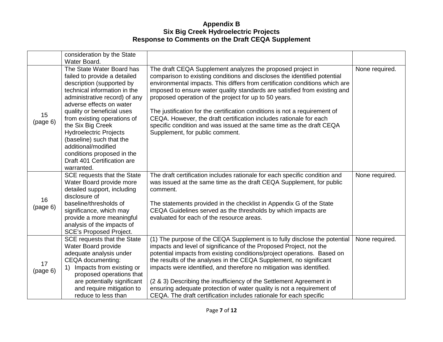|                | consideration by the State                                                                                                                                                                                                                                                                                                                                                                                                           |                                                                                                                                                                                                                                                                                                                                                                                                                                                                                                                                                                                                                            |                |
|----------------|--------------------------------------------------------------------------------------------------------------------------------------------------------------------------------------------------------------------------------------------------------------------------------------------------------------------------------------------------------------------------------------------------------------------------------------|----------------------------------------------------------------------------------------------------------------------------------------------------------------------------------------------------------------------------------------------------------------------------------------------------------------------------------------------------------------------------------------------------------------------------------------------------------------------------------------------------------------------------------------------------------------------------------------------------------------------------|----------------|
|                | Water Board.                                                                                                                                                                                                                                                                                                                                                                                                                         |                                                                                                                                                                                                                                                                                                                                                                                                                                                                                                                                                                                                                            |                |
| 15<br>(page 6) | The State Water Board has<br>failed to provide a detailed<br>description (supported by<br>technical information in the<br>administrative record) of any<br>adverse effects on water<br>quality or beneficial uses<br>from existing operations of<br>the Six Big Creek<br><b>Hydroelectric Projects</b><br>(baseline) such that the<br>additional/modified<br>conditions proposed in the<br>Draft 401 Certification are<br>warranted. | The draft CEQA Supplement analyzes the proposed project in<br>comparison to existing conditions and discloses the identified potential<br>environmental impacts. This differs from certification conditions which are<br>imposed to ensure water quality standards are satisfied from existing and<br>proposed operation of the project for up to 50 years.<br>The justification for the certification conditions is not a requirement of<br>CEQA. However, the draft certification includes rationale for each<br>specific condition and was issued at the same time as the draft CEQA<br>Supplement, for public comment. | None required. |
| 16<br>(page 6) | SCE requests that the State<br>Water Board provide more<br>detailed support, including<br>disclosure of<br>baseline/thresholds of<br>significance, which may<br>provide a more meaningful<br>analysis of the impacts of<br><b>SCE's Proposed Project.</b>                                                                                                                                                                            | The draft certification includes rationale for each specific condition and<br>was issued at the same time as the draft CEQA Supplement, for public<br>comment.<br>The statements provided in the checklist in Appendix G of the State<br>CEQA Guidelines served as the thresholds by which impacts are<br>evaluated for each of the resource areas.                                                                                                                                                                                                                                                                        | None required. |
| 17<br>(page 6) | SCE requests that the State<br>Water Board provide<br>adequate analysis under<br>CEQA documenting:<br>Impacts from existing or<br>1)<br>proposed operations that<br>are potentially significant<br>and require mitigation to<br>reduce to less than                                                                                                                                                                                  | (1) The purpose of the CEQA Supplement is to fully disclose the potential<br>impacts and level of significance of the Proposed Project, not the<br>potential impacts from existing conditions/project operations. Based on<br>the results of the analyses in the CEQA Supplement, no significant<br>impacts were identified, and therefore no mitigation was identified.<br>(2 & 3) Describing the insufficiency of the Settlement Agreement in<br>ensuring adequate protection of water quality is not a requirement of<br>CEQA. The draft certification includes rationale for each specific                             | None required. |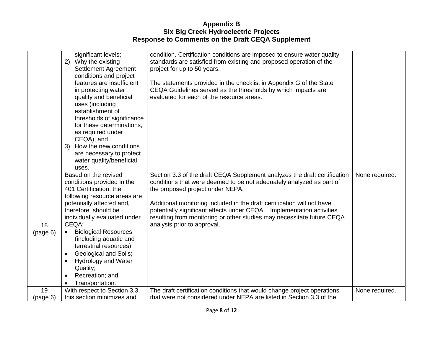|                | significant levels;<br>2) Why the existing<br><b>Settlement Agreement</b><br>conditions and project<br>features are insufficient<br>in protecting water<br>quality and beneficial<br>uses (including<br>establishment of<br>thresholds of significance<br>for these determinations,<br>as required under<br>CEQA); and<br>3) How the new conditions<br>are necessary to protect<br>water quality/beneficial<br>uses.                           | condition. Certification conditions are imposed to ensure water quality<br>standards are satisfied from existing and proposed operation of the<br>project for up to 50 years.<br>The statements provided in the checklist in Appendix G of the State<br>CEQA Guidelines served as the thresholds by which impacts are<br>evaluated for each of the resource areas.                                                                                 |                |
|----------------|------------------------------------------------------------------------------------------------------------------------------------------------------------------------------------------------------------------------------------------------------------------------------------------------------------------------------------------------------------------------------------------------------------------------------------------------|----------------------------------------------------------------------------------------------------------------------------------------------------------------------------------------------------------------------------------------------------------------------------------------------------------------------------------------------------------------------------------------------------------------------------------------------------|----------------|
| 18<br>(page 6) | Based on the revised<br>conditions provided in the<br>401 Certification, the<br>following resource areas are<br>potentially affected and,<br>therefore, should be<br>individually evaluated under<br>CEQA:<br><b>Biological Resources</b><br>$\bullet$<br>(including aquatic and<br>terrestrial resources);<br>Geological and Soils;<br>$\bullet$<br><b>Hydrology and Water</b><br>$\bullet$<br>Quality;<br>Recreation; and<br>Transportation. | Section 3.3 of the draft CEQA Supplement analyzes the draft certification<br>conditions that were deemed to be not adequately analyzed as part of<br>the proposed project under NEPA.<br>Additional monitoring included in the draft certification will not have<br>potentially significant effects under CEQA. Implementation activities<br>resulting from monitoring or other studies may necessitate future CEQA<br>analysis prior to approval. | None required. |
| 19<br>(page 6) | With respect to Section 3.3,<br>this section minimizes and                                                                                                                                                                                                                                                                                                                                                                                     | The draft certification conditions that would change project operations<br>that were not considered under NEPA are listed in Section 3.3 of the                                                                                                                                                                                                                                                                                                    | None required. |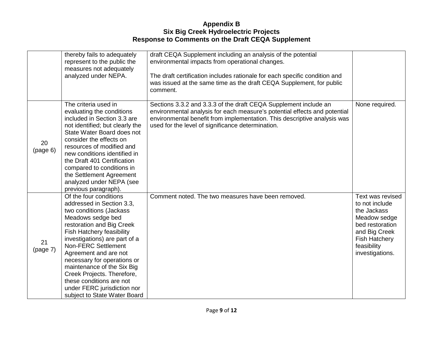|                | thereby fails to adequately<br>represent to the public the<br>measures not adequately<br>analyzed under NEPA.                                                                                                                                                                                                                                                                                                                        | draft CEQA Supplement including an analysis of the potential<br>environmental impacts from operational changes.<br>The draft certification includes rationale for each specific condition and<br>was issued at the same time as the draft CEQA Supplement, for public<br>comment. |                                                                                                                                                                 |
|----------------|--------------------------------------------------------------------------------------------------------------------------------------------------------------------------------------------------------------------------------------------------------------------------------------------------------------------------------------------------------------------------------------------------------------------------------------|-----------------------------------------------------------------------------------------------------------------------------------------------------------------------------------------------------------------------------------------------------------------------------------|-----------------------------------------------------------------------------------------------------------------------------------------------------------------|
| 20<br>(page 6) | The criteria used in<br>evaluating the conditions<br>included in Section 3.3 are<br>not identified; but clearly the<br>State Water Board does not<br>consider the effects on<br>resources of modified and<br>new conditions identified in<br>the Draft 401 Certification<br>compared to conditions in<br>the Settlement Agreement<br>analyzed under NEPA (see<br>previous paragraph).                                                | Sections 3.3.2 and 3.3.3 of the draft CEQA Supplement include an<br>environmental analysis for each measure's potential effects and potential<br>environmental benefit from implementation. This descriptive analysis was<br>used for the level of significance determination.    | None required.                                                                                                                                                  |
| 21<br>(page 7) | Of the four conditions<br>addressed in Section 3.3,<br>two conditions (Jackass<br>Meadows sedge bed<br>restoration and Big Creek<br>Fish Hatchery feasibility<br>investigations) are part of a<br>Non-FERC Settlement<br>Agreement and are not<br>necessary for operations or<br>maintenance of the Six Big<br>Creek Projects. Therefore,<br>these conditions are not<br>under FERC jurisdiction nor<br>subject to State Water Board | Comment noted. The two measures have been removed.                                                                                                                                                                                                                                | Text was revised<br>to not include<br>the Jackass<br>Meadow sedge<br>bed restoration<br>and Big Creek<br><b>Fish Hatchery</b><br>feasibility<br>investigations. |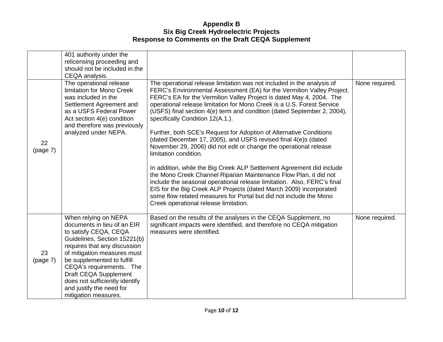|                | 401 authority under the<br>relicensing proceeding and<br>should not be included in the<br>CEQA analysis.                                                                                                                                                                                                                                             |                                                                                                                                                                                                                                                                                                                                                                                                                                                                                                                                                                                                                                                                                                                                                                                                                                                                                                                                                                                                                                                                       |                |
|----------------|------------------------------------------------------------------------------------------------------------------------------------------------------------------------------------------------------------------------------------------------------------------------------------------------------------------------------------------------------|-----------------------------------------------------------------------------------------------------------------------------------------------------------------------------------------------------------------------------------------------------------------------------------------------------------------------------------------------------------------------------------------------------------------------------------------------------------------------------------------------------------------------------------------------------------------------------------------------------------------------------------------------------------------------------------------------------------------------------------------------------------------------------------------------------------------------------------------------------------------------------------------------------------------------------------------------------------------------------------------------------------------------------------------------------------------------|----------------|
| 22<br>(page 7) | The operational release<br>limitation for Mono Creek<br>was included in the<br>Settlement Agreement and<br>as a USFS Federal Power<br>Act section 4(e) condition<br>and therefore was previously<br>analyzed under NEPA.                                                                                                                             | The operational release limitation was not included in the analysis of<br>FERC's Environmental Assessment (EA) for the Vermilion Valley Project.<br>FERC's EA for the Vermilion Valley Project is dated May 4, 2004. The<br>operational release limitation for Mono Creek is a U.S. Forest Service<br>(USFS) final section 4(e) term and condition (dated September 2, 2004),<br>specifically Condition 12(A.1.).<br>Further, both SCE's Request for Adoption of Alternative Conditions<br>(dated December 17, 2005), and USFS revised final 4(e)s (dated<br>November 29, 2006) did not edit or change the operational release<br>limitation condition.<br>In addition, while the Big Creek ALP Settlement Agreement did include<br>the Mono Creek Channel Riparian Maintenance Flow Plan, it did not<br>include the seasonal operational release limitation. Also, FERC's final<br>EIS for the Big Creek ALP Projects (dated March 2009) incorporated<br>some flow related measures for Portal but did not include the Mono<br>Creek operational release limitation. | None required. |
| 23<br>(page 7) | When relying on NEPA<br>documents in lieu of an EIR<br>to satisfy CEQA, CEQA<br>Guidelines, Section 15221(b)<br>requires that any discussion<br>of mitigation measures must<br>be supplemented to fulfill<br>CEQA's requirements. The<br>Draft CEQA Supplement<br>does not sufficiently identify<br>and justify the need for<br>mitigation measures. | Based on the results of the analyses in the CEQA Supplement, no<br>significant impacts were identified, and therefore no CEQA mitigation<br>measures were identified.                                                                                                                                                                                                                                                                                                                                                                                                                                                                                                                                                                                                                                                                                                                                                                                                                                                                                                 | None required. |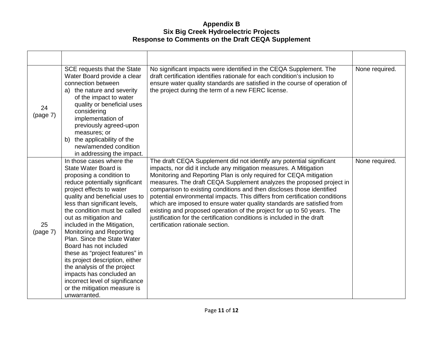| 24<br>(page 7) | SCE requests that the State<br>Water Board provide a clear<br>connection between<br>a) the nature and severity<br>of the impact to water<br>quality or beneficial uses<br>considering<br>implementation of<br>previously agreed-upon<br>measures; or<br>b) the applicability of the<br>new/amended condition<br>in addressing the impact.                                                                                                                                                                                                                                                                     | No significant impacts were identified in the CEQA Supplement. The<br>draft certification identifies rationale for each condition's inclusion to<br>ensure water quality standards are satisfied in the course of operation of<br>the project during the term of a new FERC license.                                                                                                                                                                                                                                                                                                                                                                                                                               | None required. |
|----------------|---------------------------------------------------------------------------------------------------------------------------------------------------------------------------------------------------------------------------------------------------------------------------------------------------------------------------------------------------------------------------------------------------------------------------------------------------------------------------------------------------------------------------------------------------------------------------------------------------------------|--------------------------------------------------------------------------------------------------------------------------------------------------------------------------------------------------------------------------------------------------------------------------------------------------------------------------------------------------------------------------------------------------------------------------------------------------------------------------------------------------------------------------------------------------------------------------------------------------------------------------------------------------------------------------------------------------------------------|----------------|
| 25<br>(page 7) | In those cases where the<br>State Water Board is<br>proposing a condition to<br>reduce potentially significant<br>project effects to water<br>quality and beneficial uses to<br>less than significant levels,<br>the condition must be called<br>out as mitigation and<br>included in the Mitigation,<br>Monitoring and Reporting<br>Plan. Since the State Water<br>Board has not included<br>these as "project features" in<br>its project description, either<br>the analysis of the project<br>impacts has concluded an<br>incorrect level of significance<br>or the mitigation measure is<br>unwarranted. | The draft CEQA Supplement did not identify any potential significant<br>impacts, nor did it include any mitigation measures. A Mitigation<br>Monitoring and Reporting Plan is only required for CEQA mitigation<br>measures. The draft CEQA Supplement analyzes the proposed project in<br>comparison to existing conditions and then discloses those identified<br>potential environmental impacts. This differs from certification conditions<br>which are imposed to ensure water quality standards are satisfied from<br>existing and proposed operation of the project for up to 50 years. The<br>justification for the certification conditions is included in the draft<br>certification rationale section. | None required. |